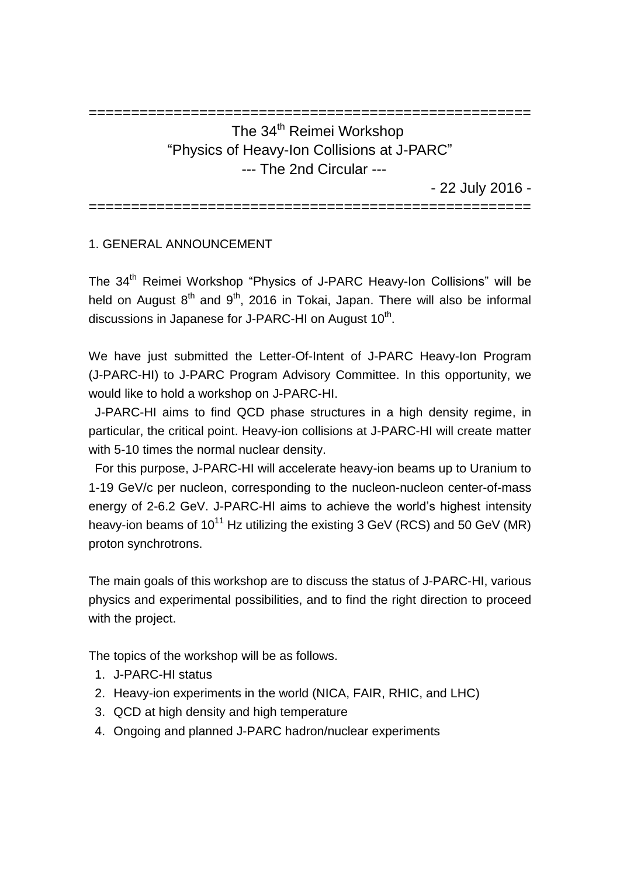# ==================================================== The 34<sup>th</sup> Reimei Workshop "Physics of Heavy-Ion Collisions at J-PARC" --- The 2nd Circular ---

- 22 July 2016 -

====================================================

## 1. GENERAL ANNOUNCEMENT

The 34<sup>th</sup> Reimei Workshop "Physics of J-PARC Heavy-Ion Collisions" will be held on August  $8<sup>th</sup>$  and  $9<sup>th</sup>$ , 2016 in Tokai, Japan. There will also be informal discussions in Japanese for J-PARC-HI on August  $10<sup>th</sup>$ .

We have just submitted the Letter-Of-Intent of J-PARC Heavy-Ion Program (J-PARC-HI) to J-PARC Program Advisory Committee. In this opportunity, we would like to hold a workshop on J-PARC-HI.

J-PARC-HI aims to find QCD phase structures in a high density regime, in particular, the critical point. Heavy-ion collisions at J-PARC-HI will create matter with 5-10 times the normal nuclear density.

For this purpose, J-PARC-HI will accelerate heavy-ion beams up to Uranium to 1-19 GeV/c per nucleon, corresponding to the nucleon-nucleon center-of-mass energy of 2-6.2 GeV. J-PARC-HI aims to achieve the world's highest intensity heavy-ion beams of 10<sup>11</sup> Hz utilizing the existing 3 GeV (RCS) and 50 GeV (MR) proton synchrotrons.

The main goals of this workshop are to discuss the status of J-PARC-HI, various physics and experimental possibilities, and to find the right direction to proceed with the project.

The topics of the workshop will be as follows.

- 1. J-PARC-HI status
- 2. Heavy-ion experiments in the world (NICA, FAIR, RHIC, and LHC)
- 3. QCD at high density and high temperature
- 4. Ongoing and planned J-PARC hadron/nuclear experiments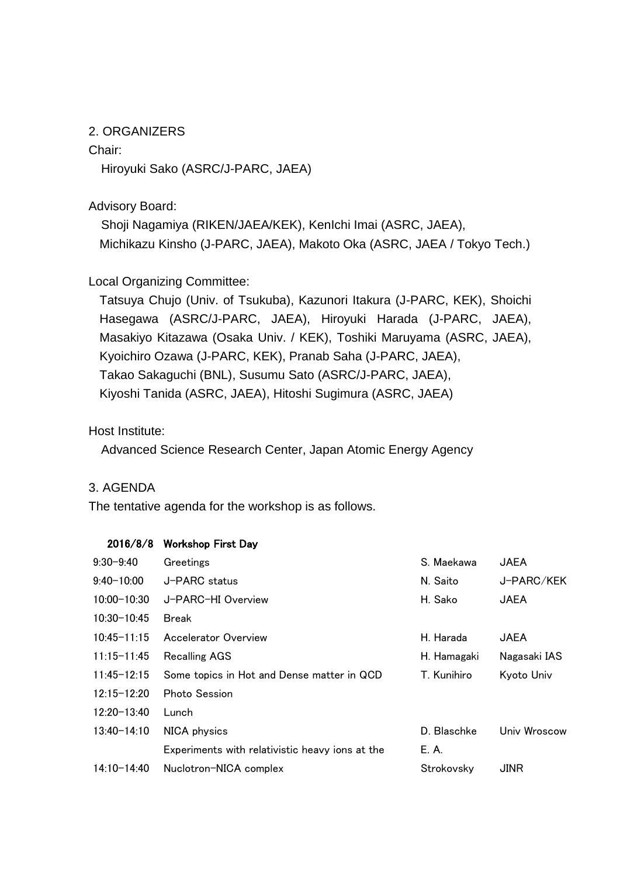#### 2. ORGANIZERS

Chair:

Hiroyuki Sako (ASRC/J-PARC, JAEA)

Advisory Board:

 Shoji Nagamiya (RIKEN/JAEA/KEK), KenIchi Imai (ASRC, JAEA), Michikazu Kinsho (J-PARC, JAEA), Makoto Oka (ASRC, JAEA / Tokyo Tech.)

## Local Organizing Committee:

Tatsuya Chujo (Univ. of Tsukuba), Kazunori Itakura (J-PARC, KEK), Shoichi Hasegawa (ASRC/J-PARC, JAEA), Hiroyuki Harada (J-PARC, JAEA), Masakiyo Kitazawa (Osaka Univ. / KEK), Toshiki Maruyama (ASRC, JAEA), Kyoichiro Ozawa (J-PARC, KEK), Pranab Saha (J-PARC, JAEA), Takao Sakaguchi (BNL), Susumu Sato (ASRC/J-PARC, JAEA), Kiyoshi Tanida (ASRC, JAEA), Hitoshi Sugimura (ASRC, JAEA)

Host Institute:

Advanced Science Research Center, Japan Atomic Energy Agency

#### 3. AGENDA

The tentative agenda for the workshop is as follows.

| 2016/8/8        | <b>Workshop First Day</b>                       |             |              |
|-----------------|-------------------------------------------------|-------------|--------------|
| $9:30 - 9:40$   | Greetings                                       | S. Maekawa  | <b>JAEA</b>  |
| $9:40 - 10:00$  | J-PARC status                                   | N. Saito    | J-PARC/KEK   |
| $10:00 - 10:30$ | J-PARC-HI Overview                              | H. Sako     | <b>JAEA</b>  |
| $10:30 - 10:45$ | Break                                           |             |              |
| $10:45 - 11:15$ | Accelerator Overview                            | H. Harada   | JAEA         |
| $11:15 - 11:45$ | <b>Recalling AGS</b>                            | H. Hamagaki | Nagasaki IAS |
| $11:45 - 12:15$ | Some topics in Hot and Dense matter in QCD      | T. Kunihiro | Kyoto Univ   |
| $12:15 - 12:20$ | Photo Session                                   |             |              |
| $12:20 - 13:40$ | Lunch                                           |             |              |
| $13:40 - 14:10$ | NICA physics                                    | D. Blaschke | Univ Wroscow |
|                 | Experiments with relativistic heavy ions at the | E. A.       |              |
| 14:10-14:40     | Nuclotron-NICA complex                          | Strokovsky  | JINR         |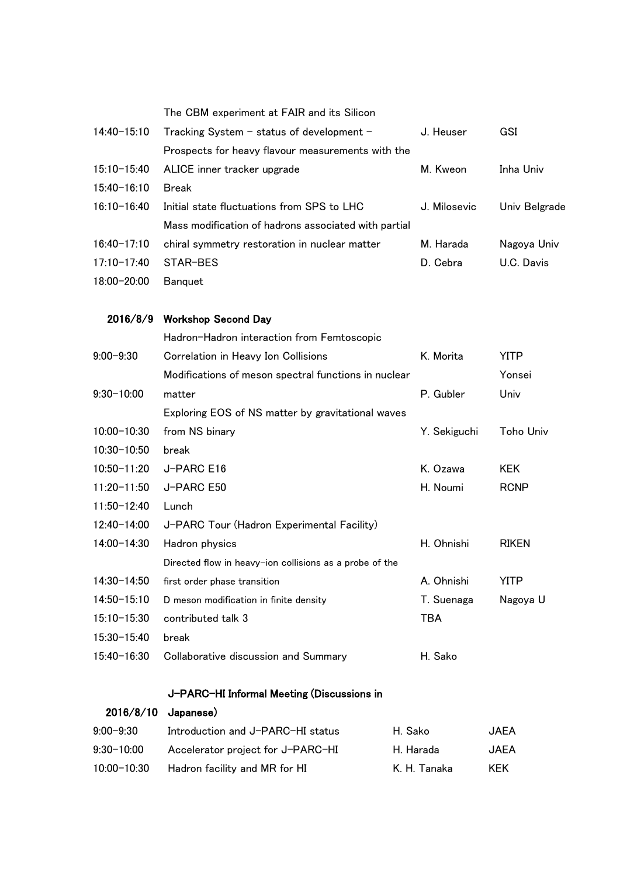|                 | The CBM experiment at FAIR and its Silicon              |              |               |
|-----------------|---------------------------------------------------------|--------------|---------------|
| 14:40-15:10     | Tracking System - status of development -               | J. Heuser    | GSI           |
|                 | Prospects for heavy flavour measurements with the       |              |               |
| $15:10 - 15:40$ | ALICE inner tracker upgrade                             | M. Kweon     | Inha Univ     |
| $15:40 - 16:10$ | <b>Break</b>                                            |              |               |
| $16:10 - 16:40$ | Initial state fluctuations from SPS to LHC              | J. Milosevic | Univ Belgrade |
|                 | Mass modification of hadrons associated with partial    |              |               |
| $16:40 - 17:10$ | chiral symmetry restoration in nuclear matter           | M. Harada    | Nagoya Univ   |
| 17:10-17:40     | STAR-BES                                                | D. Cebra     | U.C. Davis    |
| 18:00-20:00     | <b>Banquet</b>                                          |              |               |
|                 |                                                         |              |               |
| 2016/8/9        | <b>Workshop Second Day</b>                              |              |               |
|                 | Hadron-Hadron interaction from Femtoscopic              |              |               |
| $9:00 - 9:30$   | Correlation in Heavy Ion Collisions                     | K. Morita    | <b>YITP</b>   |
|                 | Modifications of meson spectral functions in nuclear    |              | Yonsei        |
| $9:30 - 10:00$  | matter                                                  | P. Gubler    | Univ          |
|                 | Exploring EOS of NS matter by gravitational waves       |              |               |
| $10:00 - 10:30$ | from NS binary                                          | Y. Sekiguchi | Toho Univ     |
| $10:30 - 10:50$ | break                                                   |              |               |
| $10:50 - 11:20$ | J-PARC E16                                              | K. Ozawa     | <b>KEK</b>    |
| $11:20 - 11:50$ | J-PARC E50                                              | H. Noumi     | <b>RCNP</b>   |
| 11:50-12:40     | Lunch                                                   |              |               |
| 12:40-14:00     | J-PARC Tour (Hadron Experimental Facility)              |              |               |
| 14:00-14:30     | Hadron physics                                          | H. Ohnishi   | <b>RIKEN</b>  |
|                 | Directed flow in heavy-ion collisions as a probe of the |              |               |
| 14:30-14:50     | first order phase transition                            | A. Ohnishi   | <b>YITP</b>   |
| 14:50-15:10     | D meson modification in finite density                  | T. Suenaga   | Nagoya U      |
| $15:10 - 15:30$ | contributed talk 3                                      | <b>TBA</b>   |               |
| 15:30-15:40     | break                                                   |              |               |
| 15:40-16:30     | Collaborative discussion and Summary                    | H. Sako      |               |

#### J-PARC-HI Informal Meeting (Discussions in

| $2016/8/10$ Japanese) |                                   |              |             |
|-----------------------|-----------------------------------|--------------|-------------|
| $9:00 - 9:30$         | Introduction and J-PARC-HI status | H. Sako      | JAEA        |
| $9:30 - 10:00$        | Accelerator project for J-PARC-HI | H. Harada    | <b>JAEA</b> |
| 10:00-10:30           | Hadron facility and MR for HI     | K. H. Tanaka | <b>KFK</b>  |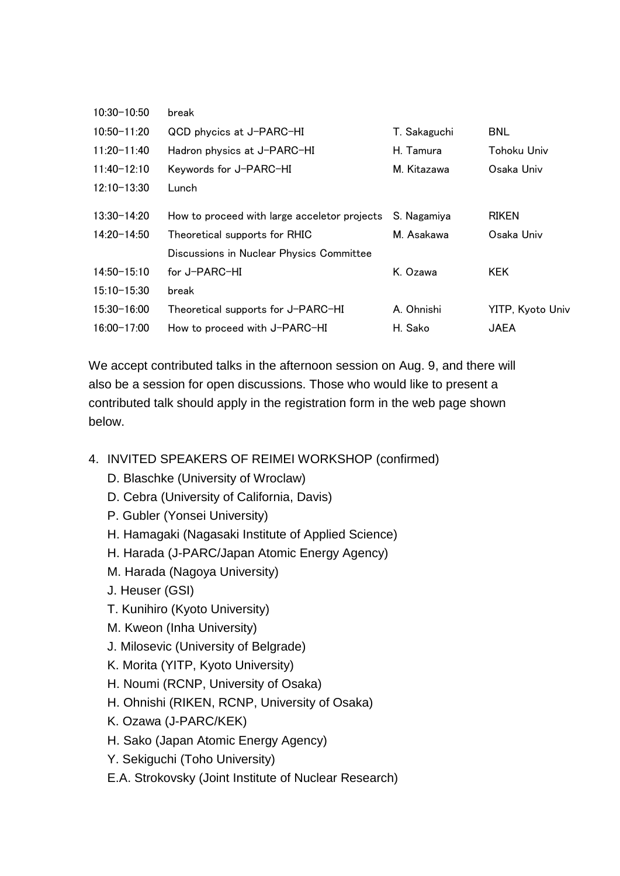| $10:30 - 10:50$ | break                                        |              |                  |
|-----------------|----------------------------------------------|--------------|------------------|
| $10:50 - 11:20$ | QCD phycics at J-PARC-HI                     | T. Sakaguchi | BNL              |
| $11:20-11:40$   | Hadron physics at J-PARC-HI                  | H. Tamura    | Tohoku Univ      |
| $11:40-12:10$   | Keywords for J-PARC-HI                       | M. Kitazawa  | Osaka Univ       |
| $12:10-13:30$   | Lunch                                        |              |                  |
| $13:30 - 14:20$ | How to proceed with large acceletor projects | S. Nagamiya  | <b>RIKEN</b>     |
| $14:20 - 14:50$ | Theoretical supports for RHIC                | M. Asakawa   | Osaka Univ       |
|                 | Discussions in Nuclear Physics Committee     |              |                  |
| $14:50 - 15:10$ | for J-PARC-HI                                | K. Ozawa     | KEK.             |
| $15:10 - 15:30$ | break                                        |              |                  |
| $15:30 - 16:00$ | Theoretical supports for J-PARC-HI           | A. Ohnishi   | YITP, Kyoto Univ |
| $16:00 - 17:00$ | How to proceed with J-PARC-HI                | H. Sako      | JAEA             |

We accept contributed talks in the afternoon session on Aug. 9, and there will also be a session for open discussions. Those who would like to present a contributed talk should apply in the registration form in the web page shown below.

- 4. INVITED SPEAKERS OF REIMEI WORKSHOP (confirmed)
	- D. Blaschke (University of Wroclaw)
	- D. Cebra (University of California, Davis)
	- P. Gubler (Yonsei University)
	- H. Hamagaki (Nagasaki Institute of Applied Science)
	- H. Harada (J-PARC/Japan Atomic Energy Agency)
	- M. Harada (Nagoya University)
	- J. Heuser (GSI)
	- T. Kunihiro (Kyoto University)
	- M. Kweon (Inha University)
	- J. Milosevic (University of Belgrade)
	- K. Morita (YITP, Kyoto University)
	- H. Noumi (RCNP, University of Osaka)
	- H. Ohnishi (RIKEN, RCNP, University of Osaka)
	- K. Ozawa (J-PARC/KEK)
	- H. Sako (Japan Atomic Energy Agency)
	- Y. Sekiguchi (Toho University)
	- E.A. Strokovsky (Joint Institute of Nuclear Research)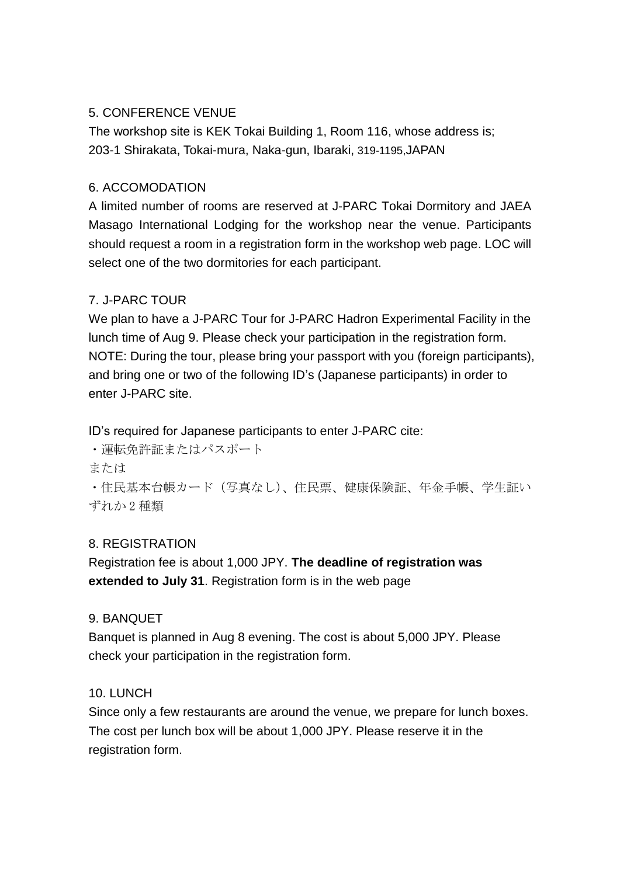#### 5. CONFERENCE VENUE

The workshop site is KEK Tokai Building 1, Room 116, whose address is; 203-1 Shirakata, Tokai-mura, Naka-gun, Ibaraki, 319-1195,JAPAN

## 6. ACCOMODATION

A limited number of rooms are reserved at J-PARC Tokai Dormitory and JAEA Masago International Lodging for the workshop near the venue. Participants should request a room in a registration form in the workshop web page. LOC will select one of the two dormitories for each participant.

# 7. J-PARC TOUR

We plan to have a J-PARC Tour for J-PARC Hadron Experimental Facility in the lunch time of Aug 9. Please check your participation in the registration form. NOTE: During the tour, please bring your passport with you (foreign participants), and bring one or two of the following ID's (Japanese participants) in order to enter J-PARC site.

ID's required for Japanese participants to enter J-PARC cite:

・運転免許証またはパスポート

または

・住民基本台帳カード(写真なし)、住民票、健康保険証、年金手帳、学生証い ずれか 2 種類

# 8. REGISTRATION

Registration fee is about 1,000 JPY. **The deadline of registration was extended to July 31**. Registration form is in the web page

#### 9. BANQUET

Banquet is planned in Aug 8 evening. The cost is about 5,000 JPY. Please check your participation in the registration form.

# 10. LUNCH

Since only a few restaurants are around the venue, we prepare for lunch boxes. The cost per lunch box will be about 1,000 JPY. Please reserve it in the registration form.